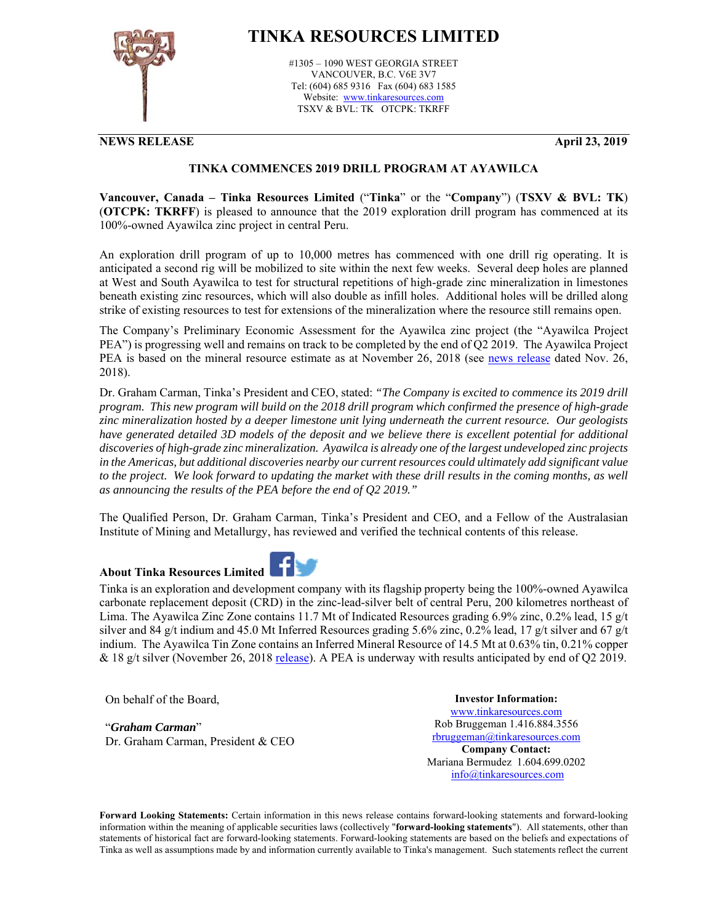

## **TINKA RESOURCES LIMITED**

#1305 – 1090 WEST GEORGIA STREET VANCOUVER, B.C. V6E 3V7 Tel: (604) 685 9316 Fax (604) 683 1585 Website: www.tinkaresources.com TSXV & BVL: TK OTCPK: TKRFF

**NEWS RELEASE April 23, 2019**

## **TINKA COMMENCES 2019 DRILL PROGRAM AT AYAWILCA**

**Vancouver, Canada – Tinka Resources Limited** ("**Tinka**" or the "**Company**") (**TSXV & BVL: TK**) (**OTCPK: TKRFF**) is pleased to announce that the 2019 exploration drill program has commenced at its 100%-owned Ayawilca zinc project in central Peru.

An exploration drill program of up to 10,000 metres has commenced with one drill rig operating. It is anticipated a second rig will be mobilized to site within the next few weeks. Several deep holes are planned at West and South Ayawilca to test for structural repetitions of high-grade zinc mineralization in limestones beneath existing zinc resources, which will also double as infill holes. Additional holes will be drilled along strike of existing resources to test for extensions of the mineralization where the resource still remains open.

The Company's Preliminary Economic Assessment for the Ayawilca zinc project (the "Ayawilca Project PEA") is progressing well and remains on track to be completed by the end of Q2 2019. The Ayawilca Project PEA is based on the mineral resource estimate as at November 26, 2018 (see news release dated Nov. 26, 2018).

Dr. Graham Carman, Tinka's President and CEO, stated: *"The Company is excited to commence its 2019 drill program. This new program will build on the 2018 drill program which confirmed the presence of high-grade zinc mineralization hosted by a deeper limestone unit lying underneath the current resource. Our geologists have generated detailed 3D models of the deposit and we believe there is excellent potential for additional discoveries of high-grade zinc mineralization. Ayawilca is already one of the largest undeveloped zinc projects in the Americas, but additional discoveries nearby our current resources could ultimately add significant value to the project. We look forward to updating the market with these drill results in the coming months, as well as announcing the results of the PEA before the end of Q2 2019."* 

The Qualified Person, Dr. Graham Carman, Tinka's President and CEO, and a Fellow of the Australasian Institute of Mining and Metallurgy, has reviewed and verified the technical contents of this release.

## **About Tinka Resources Limited**



Tinka is an exploration and development company with its flagship property being the 100%-owned Ayawilca carbonate replacement deposit (CRD) in the zinc-lead-silver belt of central Peru, 200 kilometres northeast of Lima. The Ayawilca Zinc Zone contains 11.7 Mt of Indicated Resources grading 6.9% zinc, 0.2% lead, 15 g/t silver and 84 g/t indium and 45.0 Mt Inferred Resources grading 5.6% zinc, 0.2% lead, 17 g/t silver and 67 g/t indium. The Ayawilca Tin Zone contains an Inferred Mineral Resource of 14.5 Mt at 0.63% tin, 0.21% copper & 18 g/t silver (November 26, 2018 release). A PEA is underway with results anticipated by end of Q2 2019.

On behalf of the Board,

"*Graham Carman*" Dr. Graham Carman, President & CEO

**Investor Information:**  www.tinkaresources.com Rob Bruggeman 1.416.884.3556 rbruggeman@tinkaresources.com **Company Contact:** Mariana Bermudez 1.604.699.0202 info@tinkaresources.com

**Forward Looking Statements:** Certain information in this news release contains forward-looking statements and forward-looking information within the meaning of applicable securities laws (collectively "**forward-looking statements**"). All statements, other than statements of historical fact are forward-looking statements. Forward-looking statements are based on the beliefs and expectations of Tinka as well as assumptions made by and information currently available to Tinka's management. Such statements reflect the current